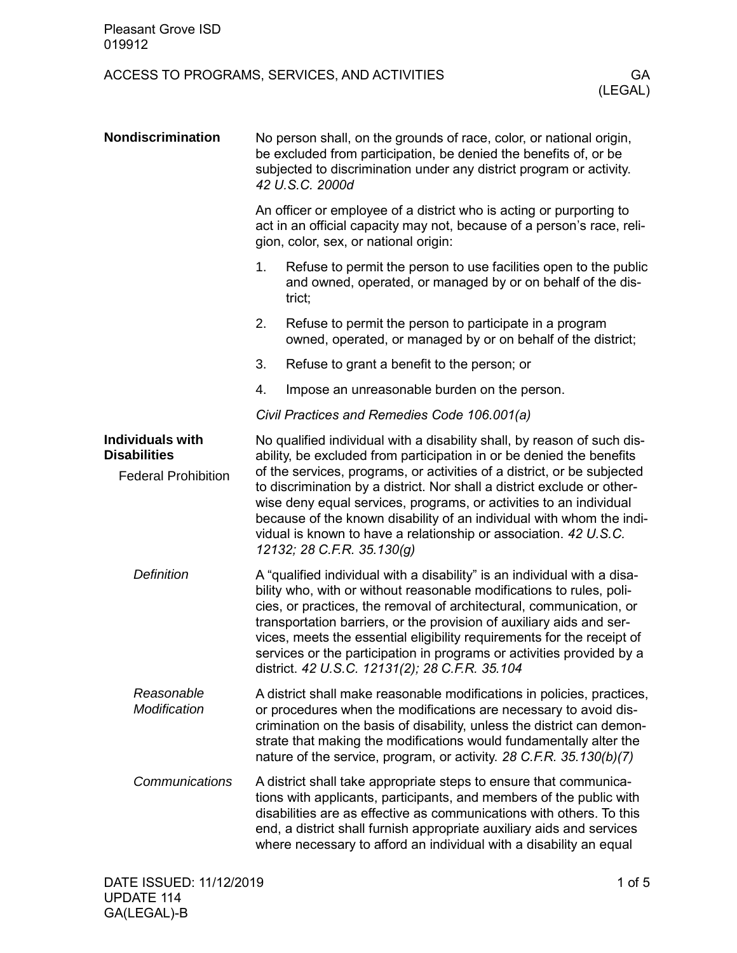## ACCESS TO PROGRAMS, SERVICES, AND ACTIVITIES GA

| <b>Nondiscrimination</b>                       | No person shall, on the grounds of race, color, or national origin,<br>be excluded from participation, be denied the benefits of, or be<br>subjected to discrimination under any district program or activity.<br>42 U.S.C. 2000d                                                                                                                                                                                                                                                                    |                                                                                                                                                                                                                                                                                                                                                                   |  |  |
|------------------------------------------------|------------------------------------------------------------------------------------------------------------------------------------------------------------------------------------------------------------------------------------------------------------------------------------------------------------------------------------------------------------------------------------------------------------------------------------------------------------------------------------------------------|-------------------------------------------------------------------------------------------------------------------------------------------------------------------------------------------------------------------------------------------------------------------------------------------------------------------------------------------------------------------|--|--|
|                                                | An officer or employee of a district who is acting or purporting to<br>act in an official capacity may not, because of a person's race, reli-<br>gion, color, sex, or national origin:                                                                                                                                                                                                                                                                                                               |                                                                                                                                                                                                                                                                                                                                                                   |  |  |
|                                                | 1.                                                                                                                                                                                                                                                                                                                                                                                                                                                                                                   | Refuse to permit the person to use facilities open to the public<br>and owned, operated, or managed by or on behalf of the dis-<br>trict;                                                                                                                                                                                                                         |  |  |
|                                                | 2.                                                                                                                                                                                                                                                                                                                                                                                                                                                                                                   | Refuse to permit the person to participate in a program<br>owned, operated, or managed by or on behalf of the district;                                                                                                                                                                                                                                           |  |  |
|                                                | 3.                                                                                                                                                                                                                                                                                                                                                                                                                                                                                                   | Refuse to grant a benefit to the person; or                                                                                                                                                                                                                                                                                                                       |  |  |
|                                                | 4.                                                                                                                                                                                                                                                                                                                                                                                                                                                                                                   | Impose an unreasonable burden on the person.                                                                                                                                                                                                                                                                                                                      |  |  |
|                                                |                                                                                                                                                                                                                                                                                                                                                                                                                                                                                                      | Civil Practices and Remedies Code 106.001(a)                                                                                                                                                                                                                                                                                                                      |  |  |
| <b>Individuals with</b><br><b>Disabilities</b> | No qualified individual with a disability shall, by reason of such dis-<br>ability, be excluded from participation in or be denied the benefits                                                                                                                                                                                                                                                                                                                                                      |                                                                                                                                                                                                                                                                                                                                                                   |  |  |
| <b>Federal Prohibition</b>                     | of the services, programs, or activities of a district, or be subjected<br>to discrimination by a district. Nor shall a district exclude or other-<br>wise deny equal services, programs, or activities to an individual<br>because of the known disability of an individual with whom the indi-<br>vidual is known to have a relationship or association. 42 U.S.C.<br>12132; 28 C.F.R. 35.130(g)                                                                                                   |                                                                                                                                                                                                                                                                                                                                                                   |  |  |
| <b>Definition</b>                              | A "qualified individual with a disability" is an individual with a disa-<br>bility who, with or without reasonable modifications to rules, poli-<br>cies, or practices, the removal of architectural, communication, or<br>transportation barriers, or the provision of auxiliary aids and ser-<br>vices, meets the essential eligibility requirements for the receipt of<br>services or the participation in programs or activities provided by a<br>district. 42 U.S.C. 12131(2); 28 C.F.R. 35.104 |                                                                                                                                                                                                                                                                                                                                                                   |  |  |
| Reasonable<br>Modification                     |                                                                                                                                                                                                                                                                                                                                                                                                                                                                                                      | A district shall make reasonable modifications in policies, practices,<br>or procedures when the modifications are necessary to avoid dis-<br>crimination on the basis of disability, unless the district can demon-<br>strate that making the modifications would fundamentally alter the<br>nature of the service, program, or activity. 28 C.F.R. 35.130(b)(7) |  |  |
| Communications                                 |                                                                                                                                                                                                                                                                                                                                                                                                                                                                                                      | A district shall take appropriate steps to ensure that communica-<br>tions with applicants, participants, and members of the public with<br>disabilities are as effective as communications with others. To this<br>end, a district shall furnish appropriate auxiliary aids and services<br>where necessary to afford an individual with a disability an equal   |  |  |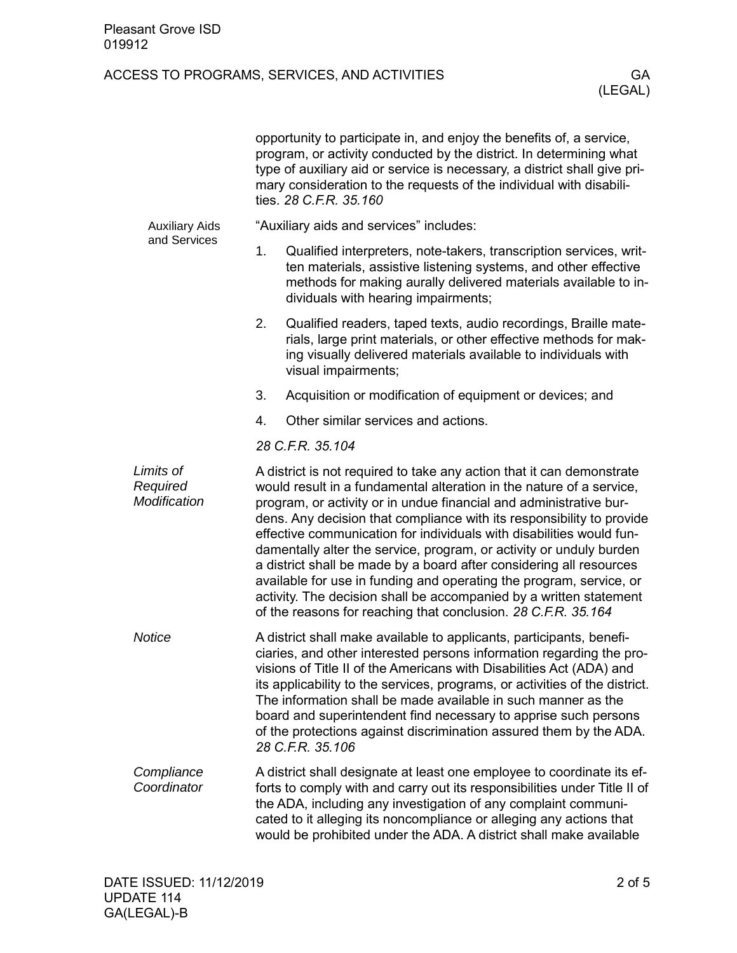## ACCESS TO PROGRAMS, SERVICES, AND ACTIVITIES GA

|                                       | opportunity to participate in, and enjoy the benefits of, a service,<br>program, or activity conducted by the district. In determining what<br>type of auxiliary aid or service is necessary, a district shall give pri-<br>mary consideration to the requests of the individual with disabili-<br>ties. 28 C.F.R. 35.160                                                                                                                                                                                                                                                                                                                                                                                                        |                                                                                                                                                                                                                                                                                                                                                                    |  |  |
|---------------------------------------|----------------------------------------------------------------------------------------------------------------------------------------------------------------------------------------------------------------------------------------------------------------------------------------------------------------------------------------------------------------------------------------------------------------------------------------------------------------------------------------------------------------------------------------------------------------------------------------------------------------------------------------------------------------------------------------------------------------------------------|--------------------------------------------------------------------------------------------------------------------------------------------------------------------------------------------------------------------------------------------------------------------------------------------------------------------------------------------------------------------|--|--|
| <b>Auxiliary Aids</b><br>and Services |                                                                                                                                                                                                                                                                                                                                                                                                                                                                                                                                                                                                                                                                                                                                  | "Auxiliary aids and services" includes:                                                                                                                                                                                                                                                                                                                            |  |  |
|                                       | 1.                                                                                                                                                                                                                                                                                                                                                                                                                                                                                                                                                                                                                                                                                                                               | Qualified interpreters, note-takers, transcription services, writ-<br>ten materials, assistive listening systems, and other effective<br>methods for making aurally delivered materials available to in-<br>dividuals with hearing impairments;                                                                                                                    |  |  |
|                                       | 2.                                                                                                                                                                                                                                                                                                                                                                                                                                                                                                                                                                                                                                                                                                                               | Qualified readers, taped texts, audio recordings, Braille mate-<br>rials, large print materials, or other effective methods for mak-<br>ing visually delivered materials available to individuals with<br>visual impairments;                                                                                                                                      |  |  |
|                                       | 3.                                                                                                                                                                                                                                                                                                                                                                                                                                                                                                                                                                                                                                                                                                                               | Acquisition or modification of equipment or devices; and                                                                                                                                                                                                                                                                                                           |  |  |
|                                       | 4.                                                                                                                                                                                                                                                                                                                                                                                                                                                                                                                                                                                                                                                                                                                               | Other similar services and actions.                                                                                                                                                                                                                                                                                                                                |  |  |
|                                       |                                                                                                                                                                                                                                                                                                                                                                                                                                                                                                                                                                                                                                                                                                                                  | 28 C.F.R. 35.104                                                                                                                                                                                                                                                                                                                                                   |  |  |
| Limits of<br>Required<br>Modification | A district is not required to take any action that it can demonstrate<br>would result in a fundamental alteration in the nature of a service,<br>program, or activity or in undue financial and administrative bur-<br>dens. Any decision that compliance with its responsibility to provide<br>effective communication for individuals with disabilities would fun-<br>damentally alter the service, program, or activity or unduly burden<br>a district shall be made by a board after considering all resources<br>available for use in funding and operating the program, service, or<br>activity. The decision shall be accompanied by a written statement<br>of the reasons for reaching that conclusion. 28 C.F.R. 35.164 |                                                                                                                                                                                                                                                                                                                                                                    |  |  |
| <b>Notice</b>                         | A district shall make available to applicants, participants, benefi-<br>ciaries, and other interested persons information regarding the pro-<br>visions of Title II of the Americans with Disabilities Act (ADA) and<br>its applicability to the services, programs, or activities of the district.<br>The information shall be made available in such manner as the<br>board and superintendent find necessary to apprise such persons<br>of the protections against discrimination assured them by the ADA.<br>28 C.F.R. 35.106                                                                                                                                                                                                |                                                                                                                                                                                                                                                                                                                                                                    |  |  |
| Compliance<br>Coordinator             |                                                                                                                                                                                                                                                                                                                                                                                                                                                                                                                                                                                                                                                                                                                                  | A district shall designate at least one employee to coordinate its ef-<br>forts to comply with and carry out its responsibilities under Title II of<br>the ADA, including any investigation of any complaint communi-<br>cated to it alleging its noncompliance or alleging any actions that<br>would be prohibited under the ADA. A district shall make available |  |  |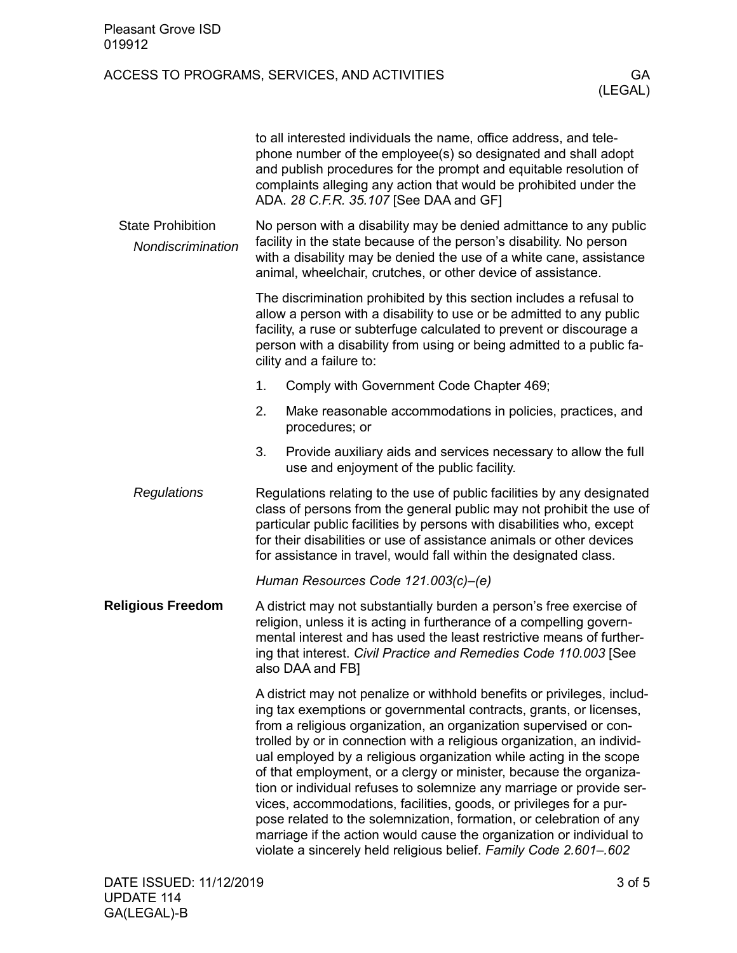| <b>Pleasant Grove ISD</b><br>019912           |                                                                                                                                                                                                                                                                                                                                                                                                                                                                                                                                                                                                                                                                                                                                                                                                            |               |  |  |
|-----------------------------------------------|------------------------------------------------------------------------------------------------------------------------------------------------------------------------------------------------------------------------------------------------------------------------------------------------------------------------------------------------------------------------------------------------------------------------------------------------------------------------------------------------------------------------------------------------------------------------------------------------------------------------------------------------------------------------------------------------------------------------------------------------------------------------------------------------------------|---------------|--|--|
|                                               | ACCESS TO PROGRAMS, SERVICES, AND ACTIVITIES                                                                                                                                                                                                                                                                                                                                                                                                                                                                                                                                                                                                                                                                                                                                                               | GA<br>(LEGAL) |  |  |
|                                               | to all interested individuals the name, office address, and tele-<br>phone number of the employee(s) so designated and shall adopt<br>and publish procedures for the prompt and equitable resolution of<br>complaints alleging any action that would be prohibited under the<br>ADA. 28 C.F.R. 35.107 [See DAA and GF]                                                                                                                                                                                                                                                                                                                                                                                                                                                                                     |               |  |  |
| <b>State Prohibition</b><br>Nondiscrimination | No person with a disability may be denied admittance to any public<br>facility in the state because of the person's disability. No person<br>with a disability may be denied the use of a white cane, assistance<br>animal, wheelchair, crutches, or other device of assistance.                                                                                                                                                                                                                                                                                                                                                                                                                                                                                                                           |               |  |  |
|                                               | The discrimination prohibited by this section includes a refusal to<br>allow a person with a disability to use or be admitted to any public<br>facility, a ruse or subterfuge calculated to prevent or discourage a<br>person with a disability from using or being admitted to a public fa-<br>cility and a failure to:                                                                                                                                                                                                                                                                                                                                                                                                                                                                                   |               |  |  |
|                                               | 1.<br>Comply with Government Code Chapter 469;                                                                                                                                                                                                                                                                                                                                                                                                                                                                                                                                                                                                                                                                                                                                                             |               |  |  |
|                                               | 2.<br>Make reasonable accommodations in policies, practices, and<br>procedures; or                                                                                                                                                                                                                                                                                                                                                                                                                                                                                                                                                                                                                                                                                                                         |               |  |  |
|                                               | 3.<br>Provide auxiliary aids and services necessary to allow the full<br>use and enjoyment of the public facility.                                                                                                                                                                                                                                                                                                                                                                                                                                                                                                                                                                                                                                                                                         |               |  |  |
| Regulations                                   | Regulations relating to the use of public facilities by any designated<br>class of persons from the general public may not prohibit the use of<br>particular public facilities by persons with disabilities who, except<br>for their disabilities or use of assistance animals or other devices<br>for assistance in travel, would fall within the designated class                                                                                                                                                                                                                                                                                                                                                                                                                                        |               |  |  |
|                                               | Human Resources Code 121.003(c)-(e)                                                                                                                                                                                                                                                                                                                                                                                                                                                                                                                                                                                                                                                                                                                                                                        |               |  |  |
| <b>Religious Freedom</b>                      | A district may not substantially burden a person's free exercise of<br>religion, unless it is acting in furtherance of a compelling govern-<br>mental interest and has used the least restrictive means of further-<br>ing that interest. Civil Practice and Remedies Code 110.003 [See<br>also DAA and FB]                                                                                                                                                                                                                                                                                                                                                                                                                                                                                                |               |  |  |
|                                               | A district may not penalize or withhold benefits or privileges, includ-<br>ing tax exemptions or governmental contracts, grants, or licenses,<br>from a religious organization, an organization supervised or con-<br>trolled by or in connection with a religious organization, an individ-<br>ual employed by a religious organization while acting in the scope<br>of that employment, or a clergy or minister, because the organiza-<br>tion or individual refuses to solemnize any marriage or provide ser-<br>vices, accommodations, facilities, goods, or privileges for a pur-<br>pose related to the solemnization, formation, or celebration of any<br>marriage if the action would cause the organization or individual to<br>violate a sincerely held religious belief. Family Code 2.601-.602 |               |  |  |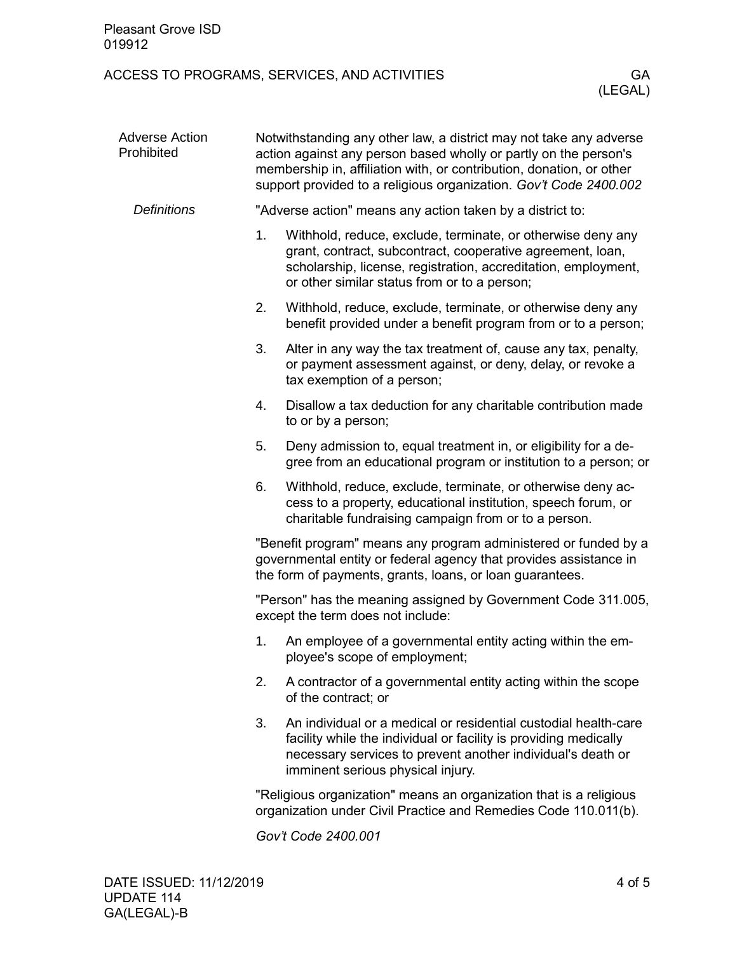| <b>Pleasant Grove ISD</b><br>019912 |                                                                                                                                                                                                                                                                                     |                                                                                                                                                                                                                                             |  |  |
|-------------------------------------|-------------------------------------------------------------------------------------------------------------------------------------------------------------------------------------------------------------------------------------------------------------------------------------|---------------------------------------------------------------------------------------------------------------------------------------------------------------------------------------------------------------------------------------------|--|--|
|                                     |                                                                                                                                                                                                                                                                                     | ACCESS TO PROGRAMS, SERVICES, AND ACTIVITIES<br>GA<br>(LEGAL)                                                                                                                                                                               |  |  |
| <b>Adverse Action</b><br>Prohibited | Notwithstanding any other law, a district may not take any adverse<br>action against any person based wholly or partly on the person's<br>membership in, affiliation with, or contribution, donation, or other<br>support provided to a religious organization. Gov't Code 2400.002 |                                                                                                                                                                                                                                             |  |  |
| <b>Definitions</b>                  |                                                                                                                                                                                                                                                                                     | "Adverse action" means any action taken by a district to:                                                                                                                                                                                   |  |  |
|                                     | 1.                                                                                                                                                                                                                                                                                  | Withhold, reduce, exclude, terminate, or otherwise deny any<br>grant, contract, subcontract, cooperative agreement, loan,<br>scholarship, license, registration, accreditation, employment,<br>or other similar status from or to a person; |  |  |
|                                     | 2.                                                                                                                                                                                                                                                                                  | Withhold, reduce, exclude, terminate, or otherwise deny any<br>benefit provided under a benefit program from or to a person;                                                                                                                |  |  |
|                                     | 3.                                                                                                                                                                                                                                                                                  | Alter in any way the tax treatment of, cause any tax, penalty,<br>or payment assessment against, or deny, delay, or revoke a<br>tax exemption of a person;                                                                                  |  |  |
|                                     | 4.                                                                                                                                                                                                                                                                                  | Disallow a tax deduction for any charitable contribution made<br>to or by a person;                                                                                                                                                         |  |  |
|                                     | 5.                                                                                                                                                                                                                                                                                  | Deny admission to, equal treatment in, or eligibility for a de-<br>gree from an educational program or institution to a person; or                                                                                                          |  |  |
|                                     | 6.                                                                                                                                                                                                                                                                                  | Withhold, reduce, exclude, terminate, or otherwise deny ac-<br>cess to a property, educational institution, speech forum, or<br>charitable fundraising campaign from or to a person.                                                        |  |  |
|                                     | "Benefit program" means any program administered or funded by a<br>governmental entity or federal agency that provides assistance in<br>the form of payments, grants, loans, or loan guarantees.                                                                                    |                                                                                                                                                                                                                                             |  |  |
|                                     | "Person" has the meaning assigned by Government Code 311.005,<br>except the term does not include:                                                                                                                                                                                  |                                                                                                                                                                                                                                             |  |  |
|                                     | 1.                                                                                                                                                                                                                                                                                  | An employee of a governmental entity acting within the em-<br>ployee's scope of employment;                                                                                                                                                 |  |  |
|                                     | 2.                                                                                                                                                                                                                                                                                  | A contractor of a governmental entity acting within the scope<br>of the contract; or                                                                                                                                                        |  |  |
|                                     | 3.                                                                                                                                                                                                                                                                                  | An individual or a medical or residential custodial health-care<br>facility while the individual or facility is providing medically<br>necessary services to prevent another individual's death or<br>imminent serious physical injury.     |  |  |
|                                     |                                                                                                                                                                                                                                                                                     | "Religious organization" means an organization that is a religious<br>organization under Civil Practice and Remedies Code 110.011(b).                                                                                                       |  |  |
|                                     |                                                                                                                                                                                                                                                                                     | Gov't Code 2400.001                                                                                                                                                                                                                         |  |  |